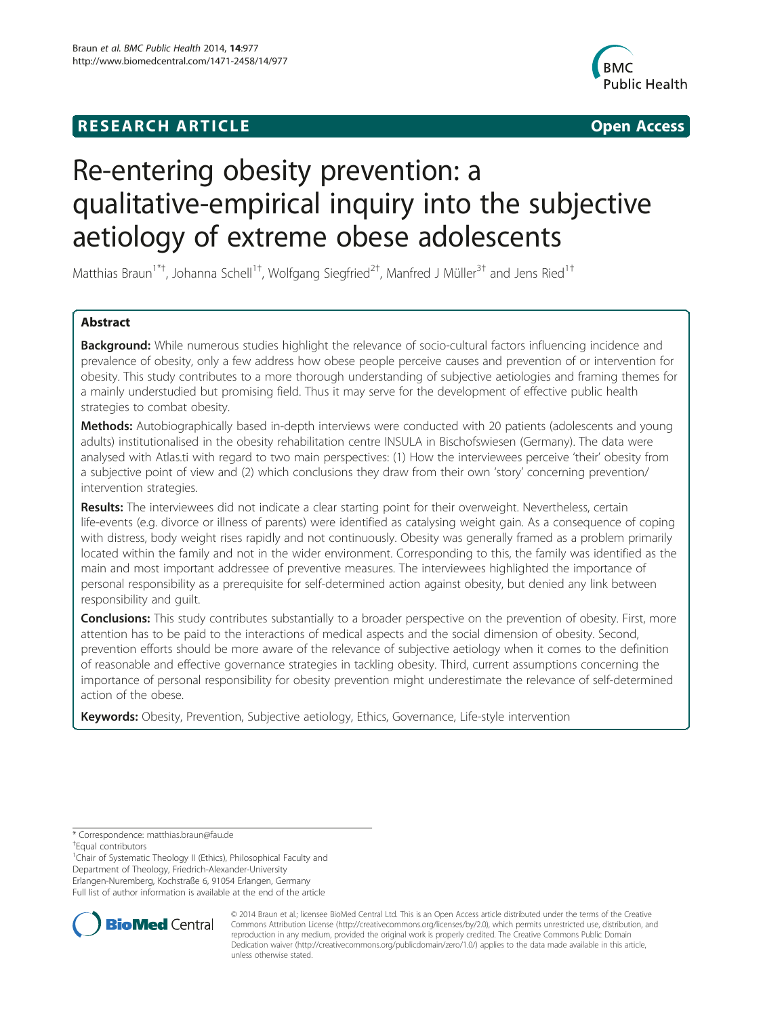## **RESEARCH ARTICLE Example 2008 CONSIDERING CONSIDERING CONSIDERING CONSIDERING CONSIDERING CONSIDERING CONSIDERING CONSIDERING CONSIDERING CONSIDERING CONSIDERING CONSIDERING CONSIDERING CONSIDERING CONSIDERING CONSIDE**



# Re-entering obesity prevention: a qualitative-empirical inquiry into the subjective aetiology of extreme obese adolescents

Matthias Braun<sup>1\*†</sup>, Johanna Schell<sup>1†</sup>, Wolfgang Siegfried<sup>2†</sup>, Manfred J Müller<sup>3†</sup> and Jens Ried<sup>1†</sup>

## Abstract

Background: While numerous studies highlight the relevance of socio-cultural factors influencing incidence and prevalence of obesity, only a few address how obese people perceive causes and prevention of or intervention for obesity. This study contributes to a more thorough understanding of subjective aetiologies and framing themes for a mainly understudied but promising field. Thus it may serve for the development of effective public health strategies to combat obesity.

**Methods:** Autobiographically based in-depth interviews were conducted with 20 patients (adolescents and young adults) institutionalised in the obesity rehabilitation centre INSULA in Bischofswiesen (Germany). The data were analysed with Atlas.ti with regard to two main perspectives: (1) How the interviewees perceive 'their' obesity from a subjective point of view and (2) which conclusions they draw from their own 'story' concerning prevention/ intervention strategies.

Results: The interviewees did not indicate a clear starting point for their overweight. Nevertheless, certain life-events (e.g. divorce or illness of parents) were identified as catalysing weight gain. As a consequence of coping with distress, body weight rises rapidly and not continuously. Obesity was generally framed as a problem primarily located within the family and not in the wider environment. Corresponding to this, the family was identified as the main and most important addressee of preventive measures. The interviewees highlighted the importance of personal responsibility as a prerequisite for self-determined action against obesity, but denied any link between responsibility and guilt.

Conclusions: This study contributes substantially to a broader perspective on the prevention of obesity. First, more attention has to be paid to the interactions of medical aspects and the social dimension of obesity. Second, prevention efforts should be more aware of the relevance of subjective aetiology when it comes to the definition of reasonable and effective governance strategies in tackling obesity. Third, current assumptions concerning the importance of personal responsibility for obesity prevention might underestimate the relevance of self-determined action of the obese.

**Keywords:** Obesity, Prevention, Subjective aetiology, Ethics, Governance, Life-style intervention

<sup>1</sup>Chair of Systematic Theology II (Ethics), Philosophical Faculty and Department of Theology, Friedrich-Alexander-University Erlangen-Nuremberg, Kochstraße 6, 91054 Erlangen, Germany Full list of author information is available at the end of the article



© 2014 Braun et al.; licensee BioMed Central Ltd. This is an Open Access article distributed under the terms of the Creative Commons Attribution License [\(http://creativecommons.org/licenses/by/2.0\)](http://creativecommons.org/licenses/by/2.0), which permits unrestricted use, distribution, and reproduction in any medium, provided the original work is properly credited. The Creative Commons Public Domain Dedication waiver [\(http://creativecommons.org/publicdomain/zero/1.0/](http://creativecommons.org/publicdomain/zero/1.0/)) applies to the data made available in this article, unless otherwise stated.

<sup>\*</sup> Correspondence: [matthias.braun@fau.de](mailto:matthias.braun@fau.de) †

Equal contributors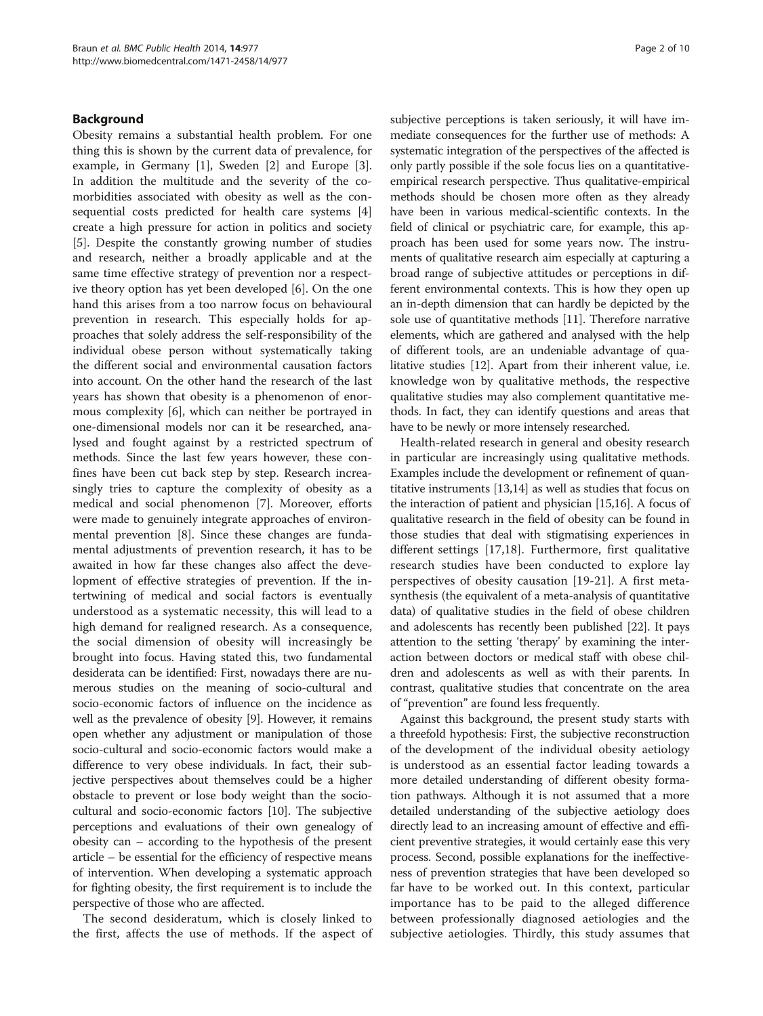#### Background

Obesity remains a substantial health problem. For one thing this is shown by the current data of prevalence, for example, in Germany [\[1\]](#page-8-0), Sweden [\[2](#page-8-0)] and Europe [\[3](#page-8-0)]. In addition the multitude and the severity of the comorbidities associated with obesity as well as the consequential costs predicted for health care systems [\[4](#page-8-0)] create a high pressure for action in politics and society [[5\]](#page-8-0). Despite the constantly growing number of studies and research, neither a broadly applicable and at the same time effective strategy of prevention nor a respective theory option has yet been developed [[6](#page-8-0)]. On the one hand this arises from a too narrow focus on behavioural prevention in research. This especially holds for approaches that solely address the self-responsibility of the individual obese person without systematically taking the different social and environmental causation factors into account. On the other hand the research of the last years has shown that obesity is a phenomenon of enormous complexity [\[6](#page-8-0)], which can neither be portrayed in one-dimensional models nor can it be researched, analysed and fought against by a restricted spectrum of methods. Since the last few years however, these confines have been cut back step by step. Research increasingly tries to capture the complexity of obesity as a medical and social phenomenon [\[7\]](#page-8-0). Moreover, efforts were made to genuinely integrate approaches of environmental prevention [[8](#page-8-0)]. Since these changes are fundamental adjustments of prevention research, it has to be awaited in how far these changes also affect the development of effective strategies of prevention. If the intertwining of medical and social factors is eventually understood as a systematic necessity, this will lead to a high demand for realigned research. As a consequence, the social dimension of obesity will increasingly be brought into focus. Having stated this, two fundamental desiderata can be identified: First, nowadays there are numerous studies on the meaning of socio-cultural and socio-economic factors of influence on the incidence as well as the prevalence of obesity [\[9](#page-8-0)]. However, it remains open whether any adjustment or manipulation of those socio-cultural and socio-economic factors would make a difference to very obese individuals. In fact, their subjective perspectives about themselves could be a higher obstacle to prevent or lose body weight than the sociocultural and socio-economic factors [\[10\]](#page-8-0). The subjective perceptions and evaluations of their own genealogy of obesity can – according to the hypothesis of the present article – be essential for the efficiency of respective means of intervention. When developing a systematic approach for fighting obesity, the first requirement is to include the perspective of those who are affected.

The second desideratum, which is closely linked to the first, affects the use of methods. If the aspect of subjective perceptions is taken seriously, it will have immediate consequences for the further use of methods: A systematic integration of the perspectives of the affected is only partly possible if the sole focus lies on a quantitativeempirical research perspective. Thus qualitative-empirical methods should be chosen more often as they already have been in various medical-scientific contexts. In the field of clinical or psychiatric care, for example, this approach has been used for some years now. The instruments of qualitative research aim especially at capturing a broad range of subjective attitudes or perceptions in different environmental contexts. This is how they open up an in-depth dimension that can hardly be depicted by the sole use of quantitative methods [\[11\]](#page-8-0). Therefore narrative elements, which are gathered and analysed with the help of different tools, are an undeniable advantage of qualitative studies [\[12\]](#page-8-0). Apart from their inherent value, i.e. knowledge won by qualitative methods, the respective qualitative studies may also complement quantitative methods. In fact, they can identify questions and areas that have to be newly or more intensely researched.

Health-related research in general and obesity research in particular are increasingly using qualitative methods. Examples include the development or refinement of quantitative instruments [\[13,14\]](#page-8-0) as well as studies that focus on the interaction of patient and physician [\[15,16](#page-8-0)]. A focus of qualitative research in the field of obesity can be found in those studies that deal with stigmatising experiences in different settings [[17,18\]](#page-8-0). Furthermore, first qualitative research studies have been conducted to explore lay perspectives of obesity causation [\[19-21](#page-8-0)]. A first metasynthesis (the equivalent of a meta-analysis of quantitative data) of qualitative studies in the field of obese children and adolescents has recently been published [[22](#page-8-0)]. It pays attention to the setting 'therapy' by examining the interaction between doctors or medical staff with obese children and adolescents as well as with their parents. In contrast, qualitative studies that concentrate on the area of "prevention" are found less frequently.

Against this background, the present study starts with a threefold hypothesis: First, the subjective reconstruction of the development of the individual obesity aetiology is understood as an essential factor leading towards a more detailed understanding of different obesity formation pathways. Although it is not assumed that a more detailed understanding of the subjective aetiology does directly lead to an increasing amount of effective and efficient preventive strategies, it would certainly ease this very process. Second, possible explanations for the ineffectiveness of prevention strategies that have been developed so far have to be worked out. In this context, particular importance has to be paid to the alleged difference between professionally diagnosed aetiologies and the subjective aetiologies. Thirdly, this study assumes that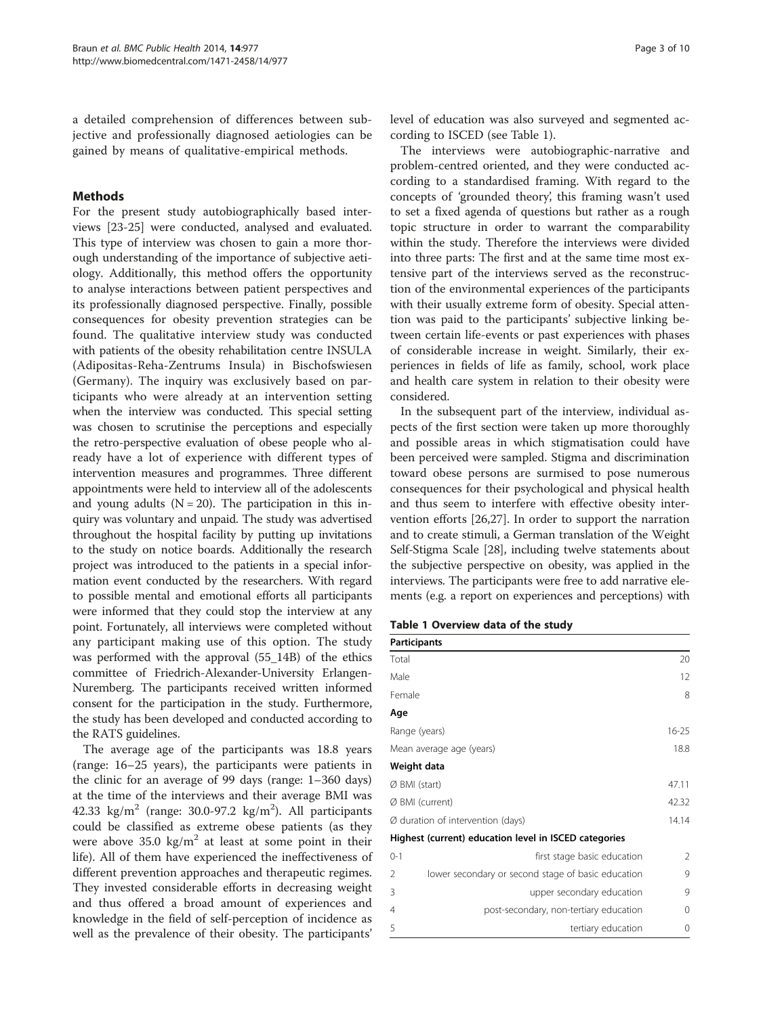a detailed comprehension of differences between subjective and professionally diagnosed aetiologies can be gained by means of qualitative-empirical methods.

#### Methods

For the present study autobiographically based interviews [[23](#page-8-0)-[25\]](#page-8-0) were conducted, analysed and evaluated. This type of interview was chosen to gain a more thorough understanding of the importance of subjective aetiology. Additionally, this method offers the opportunity to analyse interactions between patient perspectives and its professionally diagnosed perspective. Finally, possible consequences for obesity prevention strategies can be found. The qualitative interview study was conducted with patients of the obesity rehabilitation centre INSULA (Adipositas-Reha-Zentrums Insula) in Bischofswiesen (Germany). The inquiry was exclusively based on participants who were already at an intervention setting when the interview was conducted. This special setting was chosen to scrutinise the perceptions and especially the retro-perspective evaluation of obese people who already have a lot of experience with different types of intervention measures and programmes. Three different appointments were held to interview all of the adolescents and young adults  $(N = 20)$ . The participation in this inquiry was voluntary and unpaid. The study was advertised throughout the hospital facility by putting up invitations to the study on notice boards. Additionally the research project was introduced to the patients in a special information event conducted by the researchers. With regard to possible mental and emotional efforts all participants were informed that they could stop the interview at any point. Fortunately, all interviews were completed without any participant making use of this option. The study was performed with the approval (55\_14B) of the ethics committee of Friedrich-Alexander-University Erlangen-Nuremberg. The participants received written informed consent for the participation in the study. Furthermore, the study has been developed and conducted according to the RATS guidelines.

The average age of the participants was 18.8 years (range: 16–25 years), the participants were patients in the clinic for an average of 99 days (range: 1–360 days) at the time of the interviews and their average BMI was 42.33  $\text{kg/m}^2$  (range: 30.0-97.2  $\text{kg/m}^2$ ). All participants could be classified as extreme obese patients (as they were above  $35.0 \text{ kg/m}^2$  at least at some point in their life). All of them have experienced the ineffectiveness of different prevention approaches and therapeutic regimes. They invested considerable efforts in decreasing weight and thus offered a broad amount of experiences and knowledge in the field of self-perception of incidence as well as the prevalence of their obesity. The participants' level of education was also surveyed and segmented according to ISCED (see Table 1).

The interviews were autobiographic-narrative and problem-centred oriented, and they were conducted according to a standardised framing. With regard to the concepts of 'grounded theory', this framing wasn't used to set a fixed agenda of questions but rather as a rough topic structure in order to warrant the comparability within the study. Therefore the interviews were divided into three parts: The first and at the same time most extensive part of the interviews served as the reconstruction of the environmental experiences of the participants with their usually extreme form of obesity. Special attention was paid to the participants' subjective linking between certain life-events or past experiences with phases of considerable increase in weight. Similarly, their experiences in fields of life as family, school, work place and health care system in relation to their obesity were considered.

In the subsequent part of the interview, individual aspects of the first section were taken up more thoroughly and possible areas in which stigmatisation could have been perceived were sampled. Stigma and discrimination toward obese persons are surmised to pose numerous consequences for their psychological and physical health and thus seem to interfere with effective obesity intervention efforts [[26,27\]](#page-8-0). In order to support the narration and to create stimuli, a German translation of the Weight Self-Stigma Scale [[28](#page-8-0)], including twelve statements about the subjective perspective on obesity, was applied in the interviews. The participants were free to add narrative elements (e.g. a report on experiences and perceptions) with

|  |  | Table 1 Overview data of the study |  |  |  |  |
|--|--|------------------------------------|--|--|--|--|
|--|--|------------------------------------|--|--|--|--|

| <b>Participants</b>                                     |           |  |
|---------------------------------------------------------|-----------|--|
| Total                                                   | 20        |  |
| Male                                                    | 12        |  |
| Female                                                  | 8         |  |
| Age                                                     |           |  |
| Range (years)                                           | $16 - 25$ |  |
| Mean average age (years)                                |           |  |
| Weight data                                             |           |  |
| Ø BMI (start)                                           |           |  |
| Ø BMI (current)                                         |           |  |
| Ø duration of intervention (days)                       |           |  |
| Highest (current) education level in ISCED categories   |           |  |
| $0 - 1$<br>first stage basic education                  | 2         |  |
| lower secondary or second stage of basic education<br>2 | 9         |  |
| 3<br>upper secondary education                          | 9         |  |
| post-secondary, non-tertiary education<br>4             | $\Omega$  |  |
| 5<br>tertiary education                                 | 0         |  |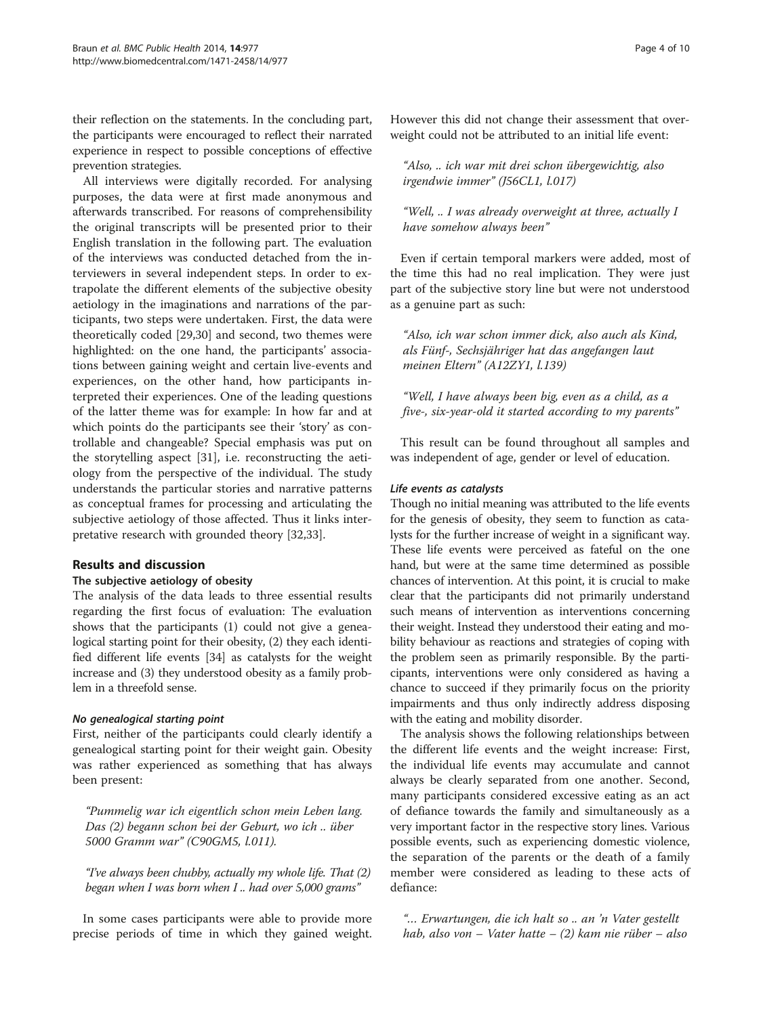their reflection on the statements. In the concluding part, the participants were encouraged to reflect their narrated experience in respect to possible conceptions of effective prevention strategies.

All interviews were digitally recorded. For analysing purposes, the data were at first made anonymous and afterwards transcribed. For reasons of comprehensibility the original transcripts will be presented prior to their English translation in the following part. The evaluation of the interviews was conducted detached from the interviewers in several independent steps. In order to extrapolate the different elements of the subjective obesity aetiology in the imaginations and narrations of the participants, two steps were undertaken. First, the data were theoretically coded [[29](#page-8-0),[30](#page-8-0)] and second, two themes were highlighted: on the one hand, the participants' associations between gaining weight and certain live-events and experiences, on the other hand, how participants interpreted their experiences. One of the leading questions of the latter theme was for example: In how far and at which points do the participants see their 'story' as controllable and changeable? Special emphasis was put on the storytelling aspect [[31\]](#page-8-0), i.e. reconstructing the aetiology from the perspective of the individual. The study understands the particular stories and narrative patterns as conceptual frames for processing and articulating the subjective aetiology of those affected. Thus it links interpretative research with grounded theory [\[32,33\]](#page-8-0).

## Results and discussion

## The subjective aetiology of obesity

The analysis of the data leads to three essential results regarding the first focus of evaluation: The evaluation shows that the participants (1) could not give a genealogical starting point for their obesity, (2) they each identified different life events [\[34](#page-8-0)] as catalysts for the weight increase and (3) they understood obesity as a family problem in a threefold sense.

#### No genealogical starting point

First, neither of the participants could clearly identify a genealogical starting point for their weight gain. Obesity was rather experienced as something that has always been present:

"Pummelig war ich eigentlich schon mein Leben lang. Das (2) begann schon bei der Geburt, wo ich .. über 5000 Gramm war" (C90GM5, l.011).

"I've always been chubby, actually my whole life. That (2) began when I was born when I .. had over 5,000 grams"

In some cases participants were able to provide more precise periods of time in which they gained weight. However this did not change their assessment that overweight could not be attributed to an initial life event:

"Also, .. ich war mit drei schon übergewichtig, also irgendwie immer" (J56CL1, l.017)

"Well, .. I was already overweight at three, actually I have somehow always been"

Even if certain temporal markers were added, most of the time this had no real implication. They were just part of the subjective story line but were not understood as a genuine part as such:

"Also, ich war schon immer dick, also auch als Kind, als Fünf-, Sechsjähriger hat das angefangen laut meinen Eltern" (A12ZY1, l.139)

"Well, I have always been big, even as a child, as a five-, six-year-old it started according to my parents"

This result can be found throughout all samples and was independent of age, gender or level of education.

## Life events as catalysts

Though no initial meaning was attributed to the life events for the genesis of obesity, they seem to function as catalysts for the further increase of weight in a significant way. These life events were perceived as fateful on the one hand, but were at the same time determined as possible chances of intervention. At this point, it is crucial to make clear that the participants did not primarily understand such means of intervention as interventions concerning their weight. Instead they understood their eating and mobility behaviour as reactions and strategies of coping with the problem seen as primarily responsible. By the participants, interventions were only considered as having a chance to succeed if they primarily focus on the priority impairments and thus only indirectly address disposing with the eating and mobility disorder.

The analysis shows the following relationships between the different life events and the weight increase: First, the individual life events may accumulate and cannot always be clearly separated from one another. Second, many participants considered excessive eating as an act of defiance towards the family and simultaneously as a very important factor in the respective story lines. Various possible events, such as experiencing domestic violence, the separation of the parents or the death of a family member were considered as leading to these acts of defiance:

"… Erwartungen, die ich halt so .. an 'n Vater gestellt hab, also von – Vater hatte – (2) kam nie rüber – also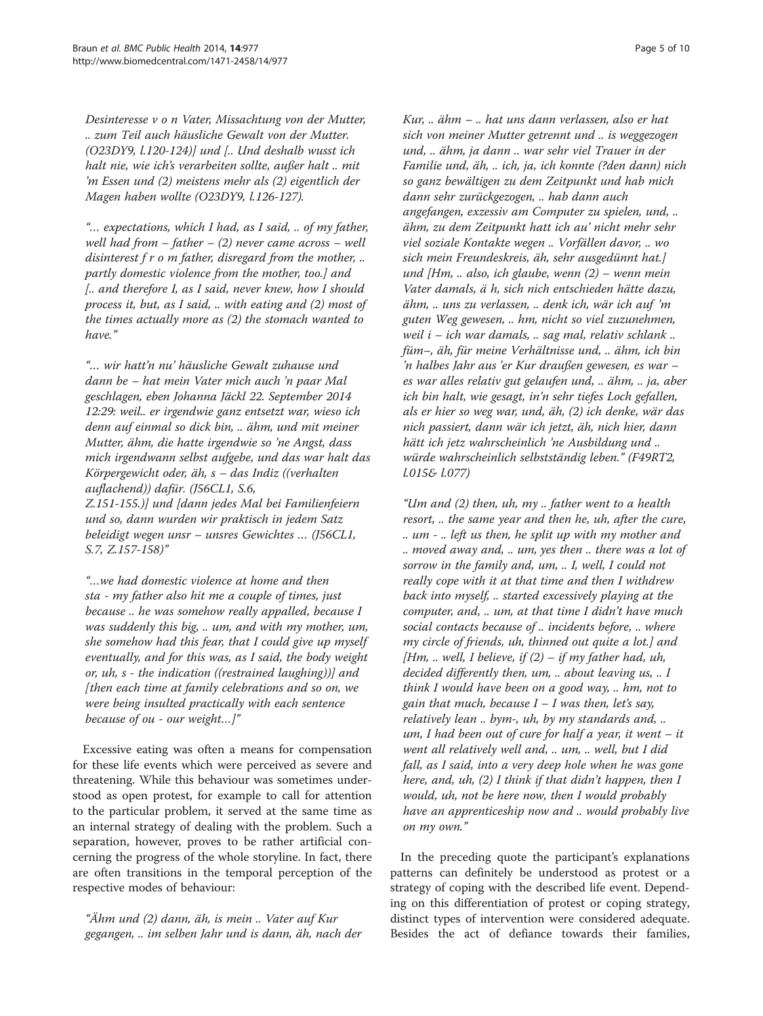Desinteresse v o n Vater, Missachtung von der Mutter, .. zum Teil auch häusliche Gewalt von der Mutter. (O23DY9, l.120-124)] und [.. Und deshalb wusst ich halt nie, wie ich's verarbeiten sollte, außer halt .. mit 'm Essen und (2) meistens mehr als (2) eigentlich der Magen haben wollte (O23DY9, l.126-127).

"… expectations, which I had, as I said, .. of my father, well had from  $-$  father  $-$  (2) never came across  $-$  well disinterest  $f r o m$  father, disregard from the mother, .. partly domestic violence from the mother, too.] and [.. and therefore I, as I said, never knew, how I should process it, but, as I said, .. with eating and (2) most of the times actually more as (2) the stomach wanted to have."

"… wir hatt'n nu' häusliche Gewalt zuhause und dann be – hat mein Vater mich auch 'n paar Mal geschlagen, eben Johanna Jäckl 22. September 2014 12:29: weil.. er irgendwie ganz entsetzt war, wieso ich denn auf einmal so dick bin, .. ähm, und mit meiner Mutter, ähm, die hatte irgendwie so 'ne Angst, dass mich irgendwann selbst aufgebe, und das war halt das Körpergewicht oder, äh, s – das Indiz ((verhalten auflachend)) dafür. (J56CL1, S.6, Z.151-155.)] und [dann jedes Mal bei Familienfeiern und so, dann wurden wir praktisch in jedem Satz beleidigt wegen unsr – unsres Gewichtes … (J56CL1, S.7, Z.157-158)"

"…we had domestic violence at home and then sta - my father also hit me a couple of times, just because .. he was somehow really appalled, because I was suddenly this big, .. um, and with my mother, um, she somehow had this fear, that I could give up myself eventually, and for this was, as I said, the body weight or, uh, s - the indication ((restrained laughing))] and [then each time at family celebrations and so on, we were being insulted practically with each sentence because of ou - our weight...]"

Excessive eating was often a means for compensation for these life events which were perceived as severe and threatening. While this behaviour was sometimes understood as open protest, for example to call for attention to the particular problem, it served at the same time as an internal strategy of dealing with the problem. Such a separation, however, proves to be rather artificial concerning the progress of the whole storyline. In fact, there are often transitions in the temporal perception of the respective modes of behaviour:

"Ähm und (2) dann, äh, is mein .. Vater auf Kur gegangen, .. im selben Jahr und is dann, äh, nach der Kur, .. ähm – .. hat uns dann verlassen, also er hat sich von meiner Mutter getrennt und .. is weggezogen und, .. ähm, ja dann .. war sehr viel Trauer in der Familie und, äh, .. ich, ja, ich konnte (?den dann) nich so ganz bewältigen zu dem Zeitpunkt und hab mich dann sehr zurückgezogen, .. hab dann auch angefangen, exzessiv am Computer zu spielen, und, .. ähm, zu dem Zeitpunkt hatt ich au' nicht mehr sehr viel soziale Kontakte wegen .. Vorfällen davor, .. wo sich mein Freundeskreis, äh, sehr ausgedünnt hat.] und  $[Hm, ...$  also, ich glaube, wenn  $(2)$  – wenn mein Vater damals, ä h, sich nich entschieden hätte dazu, ähm, .. uns zu verlassen, .. denk ich, wär ich auf 'm guten Weg gewesen, .. hm, nicht so viel zuzunehmen, weil i – ich war damals, .. sag mal, relativ schlank .. füm–, äh, für meine Verhältnisse und, .. ähm, ich bin 'n halbes Jahr aus 'er Kur draußen gewesen, es war – es war alles relativ gut gelaufen und, .. ähm, .. ja, aber ich bin halt, wie gesagt, in'n sehr tiefes Loch gefallen, als er hier so weg war, und, äh, (2) ich denke, wär das nich passiert, dann wär ich jetzt, äh, nich hier, dann hätt ich jetz wahrscheinlich 'ne Ausbildung und .. würde wahrscheinlich selbstständig leben." (F49RT2, l.015& l.077)

"Um and (2) then, uh, my .. father went to a health resort, .. the same year and then he, uh, after the cure, .. um - .. left us then, he split up with my mother and .. moved away and, .. um, yes then .. there was a lot of sorrow in the family and, um, .. I, well, I could not really cope with it at that time and then I withdrew back into myself, .. started excessively playing at the computer, and, .. um, at that time I didn't have much social contacts because of .. incidents before, .. where my circle of friends, uh, thinned out quite a lot.] and  $[Hm, ...$  well, I believe, if  $(2) - if$  my father had, uh, decided differently then, um, .. about leaving us, .. I think I would have been on a good way, .. hm, not to gain that much, because  $I - I$  was then, let's say, relatively lean .. bym-, uh, by my standards and, .. um, I had been out of cure for half a year, it went  $-$  it went all relatively well and, .. um, .. well, but I did fall, as I said, into a very deep hole when he was gone here, and, uh, (2) I think if that didn't happen, then I would, uh, not be here now, then I would probably have an apprenticeship now and .. would probably live on my own."

In the preceding quote the participant's explanations patterns can definitely be understood as protest or a strategy of coping with the described life event. Depending on this differentiation of protest or coping strategy, distinct types of intervention were considered adequate. Besides the act of defiance towards their families,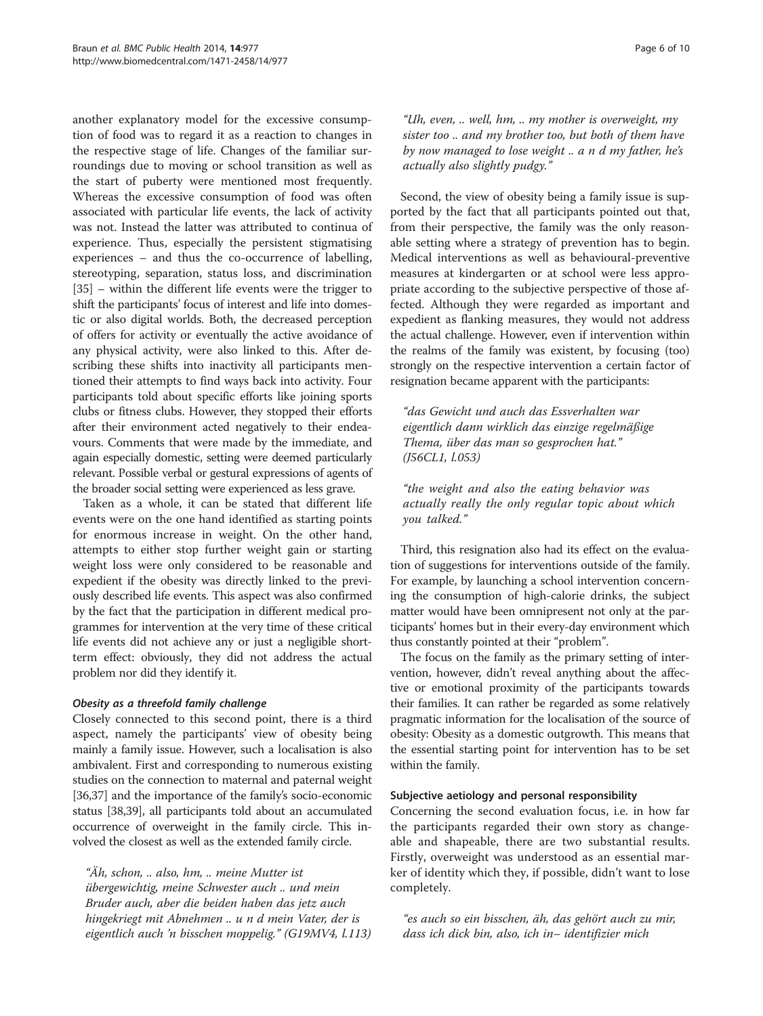another explanatory model for the excessive consumption of food was to regard it as a reaction to changes in the respective stage of life. Changes of the familiar surroundings due to moving or school transition as well as the start of puberty were mentioned most frequently. Whereas the excessive consumption of food was often associated with particular life events, the lack of activity was not. Instead the latter was attributed to continua of experience. Thus, especially the persistent stigmatising experiences – and thus the co-occurrence of labelling, stereotyping, separation, status loss, and discrimination [[35\]](#page-8-0) – within the different life events were the trigger to shift the participants' focus of interest and life into domestic or also digital worlds. Both, the decreased perception of offers for activity or eventually the active avoidance of any physical activity, were also linked to this. After describing these shifts into inactivity all participants mentioned their attempts to find ways back into activity. Four participants told about specific efforts like joining sports clubs or fitness clubs. However, they stopped their efforts after their environment acted negatively to their endeavours. Comments that were made by the immediate, and again especially domestic, setting were deemed particularly relevant. Possible verbal or gestural expressions of agents of the broader social setting were experienced as less grave.

Taken as a whole, it can be stated that different life events were on the one hand identified as starting points for enormous increase in weight. On the other hand, attempts to either stop further weight gain or starting weight loss were only considered to be reasonable and expedient if the obesity was directly linked to the previously described life events. This aspect was also confirmed by the fact that the participation in different medical programmes for intervention at the very time of these critical life events did not achieve any or just a negligible shortterm effect: obviously, they did not address the actual problem nor did they identify it.

## Obesity as a threefold family challenge

Closely connected to this second point, there is a third aspect, namely the participants' view of obesity being mainly a family issue. However, such a localisation is also ambivalent. First and corresponding to numerous existing studies on the connection to maternal and paternal weight [[36,37](#page-8-0)] and the importance of the family's socio-economic status [[38,39\]](#page-9-0), all participants told about an accumulated occurrence of overweight in the family circle. This involved the closest as well as the extended family circle.

"Äh, schon, .. also, hm, .. meine Mutter ist übergewichtig, meine Schwester auch .. und mein Bruder auch, aber die beiden haben das jetz auch hingekriegt mit Abnehmen .. u n d mein Vater, der is eigentlich auch 'n bisschen moppelig." (G19MV4, l.113)

"Uh, even, .. well, hm, .. my mother is overweight, my sister too .. and my brother too, but both of them have by now managed to lose weight .. a n d my father, he's actually also slightly pudgy."

Second, the view of obesity being a family issue is supported by the fact that all participants pointed out that, from their perspective, the family was the only reasonable setting where a strategy of prevention has to begin. Medical interventions as well as behavioural-preventive measures at kindergarten or at school were less appropriate according to the subjective perspective of those affected. Although they were regarded as important and expedient as flanking measures, they would not address the actual challenge. However, even if intervention within the realms of the family was existent, by focusing (too) strongly on the respective intervention a certain factor of resignation became apparent with the participants:

"das Gewicht und auch das Essverhalten war eigentlich dann wirklich das einzige regelmäßige Thema, über das man so gesprochen hat." (J56CL1, l.053)

"the weight and also the eating behavior was actually really the only regular topic about which you talked."

Third, this resignation also had its effect on the evaluation of suggestions for interventions outside of the family. For example, by launching a school intervention concerning the consumption of high-calorie drinks, the subject matter would have been omnipresent not only at the participants' homes but in their every-day environment which thus constantly pointed at their "problem".

The focus on the family as the primary setting of intervention, however, didn't reveal anything about the affective or emotional proximity of the participants towards their families. It can rather be regarded as some relatively pragmatic information for the localisation of the source of obesity: Obesity as a domestic outgrowth. This means that the essential starting point for intervention has to be set within the family.

## Subjective aetiology and personal responsibility

Concerning the second evaluation focus, i.e. in how far the participants regarded their own story as changeable and shapeable, there are two substantial results. Firstly, overweight was understood as an essential marker of identity which they, if possible, didn't want to lose completely.

"es auch so ein bisschen, äh, das gehört auch zu mir, dass ich dick bin, also, ich in– identifizier mich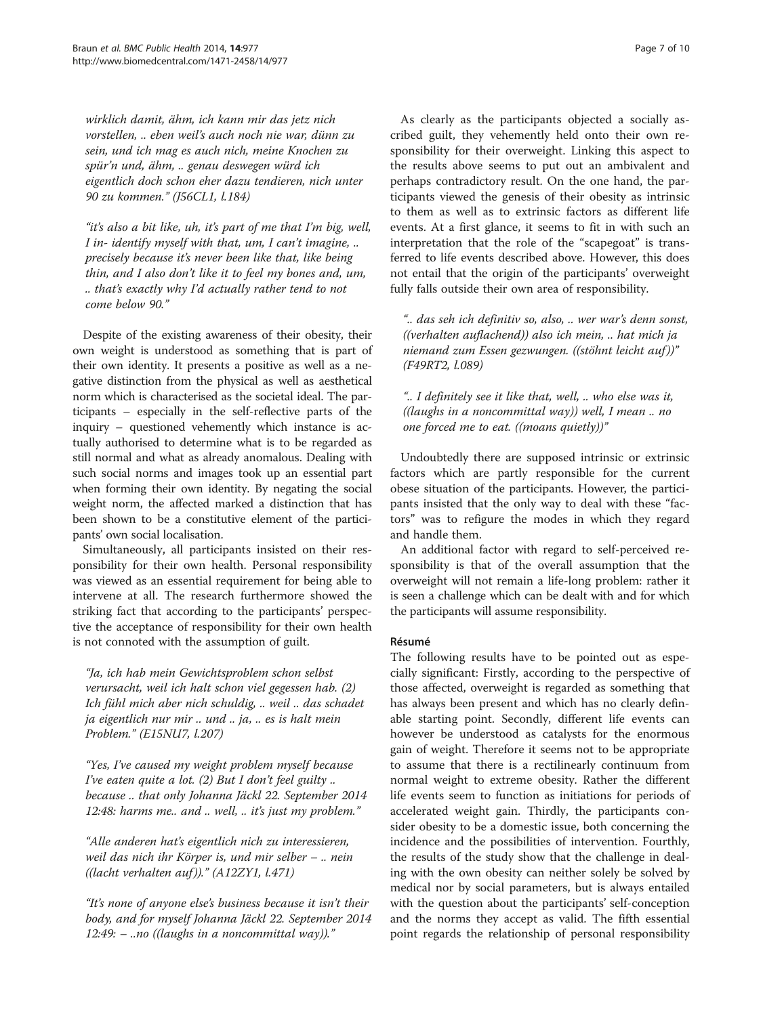wirklich damit, ähm, ich kann mir das jetz nich vorstellen, .. eben weil's auch noch nie war, dünn zu sein, und ich mag es auch nich, meine Knochen zu spür'n und, ähm, .. genau deswegen würd ich eigentlich doch schon eher dazu tendieren, nich unter 90 zu kommen." (J56CL1, l.184)

"it's also a bit like, uh, it's part of me that I'm big, well, I in- identify myself with that, um, I can't imagine, .. precisely because it's never been like that, like being thin, and I also don't like it to feel my bones and, um, .. that's exactly why I'd actually rather tend to not come below 90."

Despite of the existing awareness of their obesity, their own weight is understood as something that is part of their own identity. It presents a positive as well as a negative distinction from the physical as well as aesthetical norm which is characterised as the societal ideal. The participants – especially in the self-reflective parts of the inquiry – questioned vehemently which instance is actually authorised to determine what is to be regarded as still normal and what as already anomalous. Dealing with such social norms and images took up an essential part when forming their own identity. By negating the social weight norm, the affected marked a distinction that has been shown to be a constitutive element of the participants' own social localisation.

Simultaneously, all participants insisted on their responsibility for their own health. Personal responsibility was viewed as an essential requirement for being able to intervene at all. The research furthermore showed the striking fact that according to the participants' perspective the acceptance of responsibility for their own health is not connoted with the assumption of guilt.

"Ja, ich hab mein Gewichtsproblem schon selbst verursacht, weil ich halt schon viel gegessen hab. (2) Ich fühl mich aber nich schuldig, .. weil .. das schadet ja eigentlich nur mir .. und .. ja, .. es is halt mein Problem." (E15NU7, l.207)

"Yes, I've caused my weight problem myself because I've eaten quite a lot.  $(2)$  But I don't feel guilty .. because .. that only Johanna Jäckl 22. September 2014 12:48: harms me.. and .. well, .. it's just my problem."

"Alle anderen hat's eigentlich nich zu interessieren, weil das nich ihr Körper is, und mir selber – .. nein  $((lacht verhalten auf)).$ "  $(A12ZY1, l.471)$ 

"It's none of anyone else's business because it isn't their body, and for myself Johanna Jäckl 22. September 2014 12:49: – ..no ((laughs in a noncommittal way))."

As clearly as the participants objected a socially ascribed guilt, they vehemently held onto their own responsibility for their overweight. Linking this aspect to the results above seems to put out an ambivalent and perhaps contradictory result. On the one hand, the participants viewed the genesis of their obesity as intrinsic to them as well as to extrinsic factors as different life events. At a first glance, it seems to fit in with such an interpretation that the role of the "scapegoat" is transferred to life events described above. However, this does not entail that the origin of the participants' overweight fully falls outside their own area of responsibility.

".. das seh ich definitiv so, also, .. wer war's denn sonst, ((verhalten auflachend)) also ich mein, .. hat mich ja niemand zum Essen gezwungen. ((stöhnt leicht auf))" (F49RT2, l.089)

".. I definitely see it like that, well, .. who else was it, ((laughs in a noncommittal way)) well, I mean .. no one forced me to eat. ((moans quietly))"

Undoubtedly there are supposed intrinsic or extrinsic factors which are partly responsible for the current obese situation of the participants. However, the participants insisted that the only way to deal with these "factors" was to refigure the modes in which they regard and handle them.

An additional factor with regard to self-perceived responsibility is that of the overall assumption that the overweight will not remain a life-long problem: rather it is seen a challenge which can be dealt with and for which the participants will assume responsibility.

## Résumé

The following results have to be pointed out as especially significant: Firstly, according to the perspective of those affected, overweight is regarded as something that has always been present and which has no clearly definable starting point. Secondly, different life events can however be understood as catalysts for the enormous gain of weight. Therefore it seems not to be appropriate to assume that there is a rectilinearly continuum from normal weight to extreme obesity. Rather the different life events seem to function as initiations for periods of accelerated weight gain. Thirdly, the participants consider obesity to be a domestic issue, both concerning the incidence and the possibilities of intervention. Fourthly, the results of the study show that the challenge in dealing with the own obesity can neither solely be solved by medical nor by social parameters, but is always entailed with the question about the participants' self-conception and the norms they accept as valid. The fifth essential point regards the relationship of personal responsibility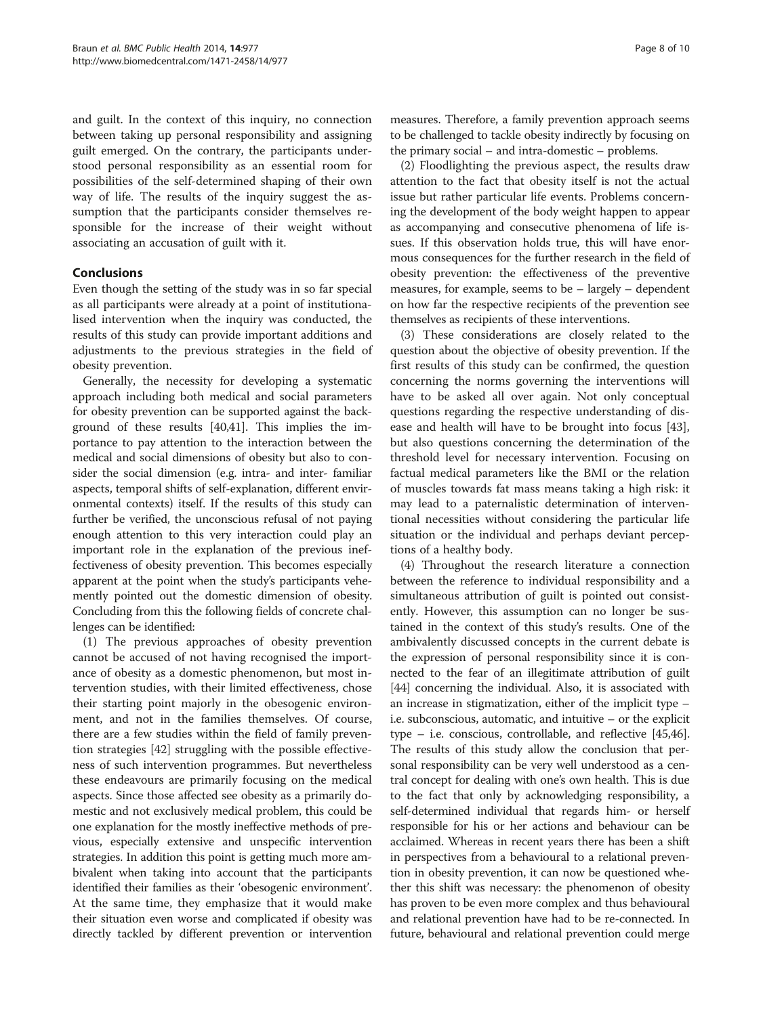and guilt. In the context of this inquiry, no connection between taking up personal responsibility and assigning guilt emerged. On the contrary, the participants understood personal responsibility as an essential room for possibilities of the self-determined shaping of their own way of life. The results of the inquiry suggest the assumption that the participants consider themselves responsible for the increase of their weight without associating an accusation of guilt with it.

## Conclusions

Even though the setting of the study was in so far special as all participants were already at a point of institutionalised intervention when the inquiry was conducted, the results of this study can provide important additions and adjustments to the previous strategies in the field of obesity prevention.

Generally, the necessity for developing a systematic approach including both medical and social parameters for obesity prevention can be supported against the background of these results [\[40,41](#page-9-0)]. This implies the importance to pay attention to the interaction between the medical and social dimensions of obesity but also to consider the social dimension (e.g. intra- and inter- familiar aspects, temporal shifts of self-explanation, different environmental contexts) itself. If the results of this study can further be verified, the unconscious refusal of not paying enough attention to this very interaction could play an important role in the explanation of the previous ineffectiveness of obesity prevention. This becomes especially apparent at the point when the study's participants vehemently pointed out the domestic dimension of obesity. Concluding from this the following fields of concrete challenges can be identified:

(1) The previous approaches of obesity prevention cannot be accused of not having recognised the importance of obesity as a domestic phenomenon, but most intervention studies, with their limited effectiveness, chose their starting point majorly in the obesogenic environment, and not in the families themselves. Of course, there are a few studies within the field of family prevention strategies [[42](#page-9-0)] struggling with the possible effectiveness of such intervention programmes. But nevertheless these endeavours are primarily focusing on the medical aspects. Since those affected see obesity as a primarily domestic and not exclusively medical problem, this could be one explanation for the mostly ineffective methods of previous, especially extensive and unspecific intervention strategies. In addition this point is getting much more ambivalent when taking into account that the participants identified their families as their 'obesogenic environment'. At the same time, they emphasize that it would make their situation even worse and complicated if obesity was directly tackled by different prevention or intervention measures. Therefore, a family prevention approach seems to be challenged to tackle obesity indirectly by focusing on the primary social – and intra-domestic – problems.

(2) Floodlighting the previous aspect, the results draw attention to the fact that obesity itself is not the actual issue but rather particular life events. Problems concerning the development of the body weight happen to appear as accompanying and consecutive phenomena of life issues. If this observation holds true, this will have enormous consequences for the further research in the field of obesity prevention: the effectiveness of the preventive measures, for example, seems to be – largely – dependent on how far the respective recipients of the prevention see themselves as recipients of these interventions.

(3) These considerations are closely related to the question about the objective of obesity prevention. If the first results of this study can be confirmed, the question concerning the norms governing the interventions will have to be asked all over again. Not only conceptual questions regarding the respective understanding of disease and health will have to be brought into focus [\[43](#page-9-0)], but also questions concerning the determination of the threshold level for necessary intervention. Focusing on factual medical parameters like the BMI or the relation of muscles towards fat mass means taking a high risk: it may lead to a paternalistic determination of interventional necessities without considering the particular life situation or the individual and perhaps deviant perceptions of a healthy body.

(4) Throughout the research literature a connection between the reference to individual responsibility and a simultaneous attribution of guilt is pointed out consistently. However, this assumption can no longer be sustained in the context of this study's results. One of the ambivalently discussed concepts in the current debate is the expression of personal responsibility since it is connected to the fear of an illegitimate attribution of guilt [[44](#page-9-0)] concerning the individual. Also, it is associated with an increase in stigmatization, either of the implicit type – i.e. subconscious, automatic, and intuitive – or the explicit type – i.e. conscious, controllable, and reflective [\[45,46](#page-9-0)]. The results of this study allow the conclusion that personal responsibility can be very well understood as a central concept for dealing with one's own health. This is due to the fact that only by acknowledging responsibility, a self-determined individual that regards him- or herself responsible for his or her actions and behaviour can be acclaimed. Whereas in recent years there has been a shift in perspectives from a behavioural to a relational prevention in obesity prevention, it can now be questioned whether this shift was necessary: the phenomenon of obesity has proven to be even more complex and thus behavioural and relational prevention have had to be re-connected. In future, behavioural and relational prevention could merge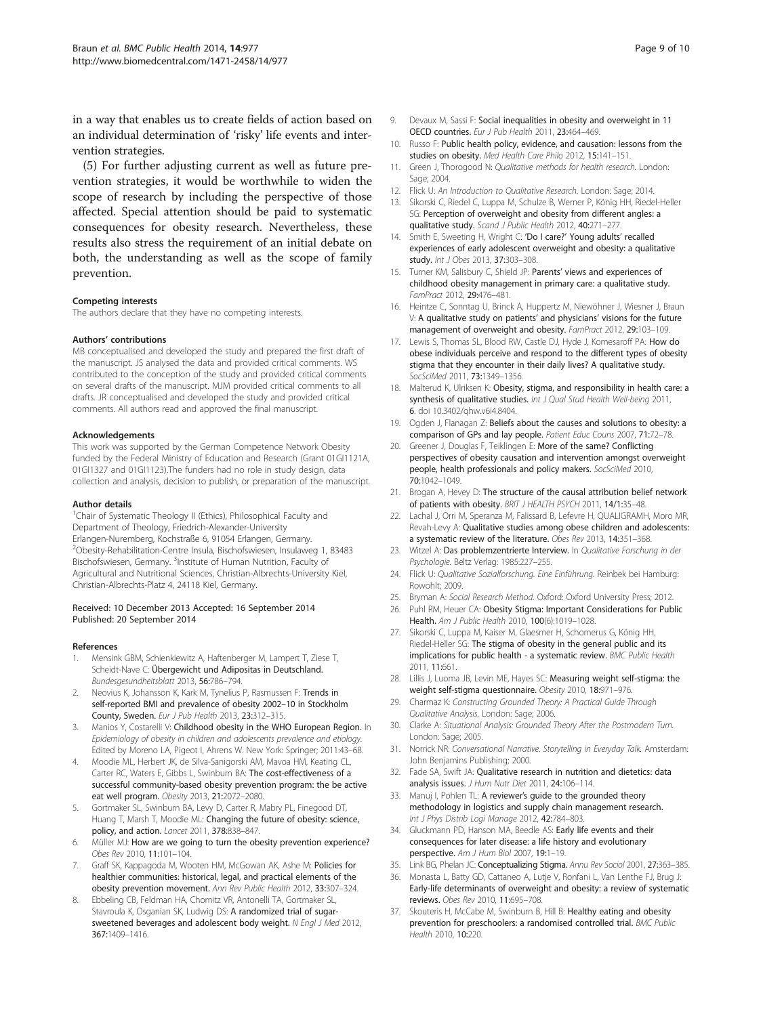<span id="page-8-0"></span>in a way that enables us to create fields of action based on an individual determination of 'risky' life events and intervention strategies.

(5) For further adjusting current as well as future prevention strategies, it would be worthwhile to widen the scope of research by including the perspective of those affected. Special attention should be paid to systematic consequences for obesity research. Nevertheless, these results also stress the requirement of an initial debate on both, the understanding as well as the scope of family prevention.

#### Competing interests

The authors declare that they have no competing interests.

#### Authors' contributions

MB conceptualised and developed the study and prepared the first draft of the manuscript. JS analysed the data and provided critical comments. WS contributed to the conception of the study and provided critical comments on several drafts of the manuscript. MJM provided critical comments to all drafts. JR conceptualised and developed the study and provided critical comments. All authors read and approved the final manuscript.

#### Acknowledgements

This work was supported by the German Competence Network Obesity funded by the Federal Ministry of Education and Research (Grant 01GI1121A, 01GI1327 and 01GI1123).The funders had no role in study design, data collection and analysis, decision to publish, or preparation of the manuscript.

#### Author details

<sup>1</sup>Chair of Systematic Theology II (Ethics), Philosophical Faculty and Department of Theology, Friedrich-Alexander-University Erlangen-Nuremberg, Kochstraße 6, 91054 Erlangen, Germany. <sup>2</sup>Obesity-Rehabilitation-Centre Insula, Bischofswiesen, Insulaweg 1, 83483 Bischofswiesen, Germany. <sup>3</sup>Institute of Human Nutrition, Faculty of Agricultural and Nutritional Sciences, Christian-Albrechts-University Kiel, Christian-Albrechts-Platz 4, 24118 Kiel, Germany.

#### Received: 10 December 2013 Accepted: 16 September 2014 Published: 20 September 2014

#### References

- 1. Mensink GBM, Schienkiewitz A, Haftenberger M, Lampert T, Ziese T, Scheidt-Nave C: Übergewicht und Adipositas in Deutschland. Bundesgesundheitsblatt 2013, 56:786–794.
- 2. Neovius K, Johansson K, Kark M, Tynelius P, Rasmussen F: Trends in self-reported BMI and prevalence of obesity 2002–10 in Stockholm County, Sweden. Eur J Pub Health 2013, 23:312–315.
- 3. Manios Y, Costarelli V: Childhood obesity in the WHO European Region. In Epidemiology of obesity in children and adolescents prevalence and etiology. Edited by Moreno LA, Pigeot I, Ahrens W. New York: Springer; 2011:43–68.
- 4. Moodie ML, Herbert JK, de Silva-Sanigorski AM, Mavoa HM, Keating CL, Carter RC, Waters E, Gibbs L, Swinburn BA: The cost-effectiveness of a successful community-based obesity prevention program: the be active eat well program. Obesity 2013, 21:2072–2080.
- 5. Gortmaker SL, Swinburn BA, Levy D, Carter R, Mabry PL, Finegood DT, Huang T, Marsh T, Moodie ML: Changing the future of obesity: science, policy, and action. Lancet 2011, 378:838–847.
- 6. Müller MJ: How are we going to turn the obesity prevention experience? Obes Rev 2010, 11:101–104.
- Graff SK, Kappagoda M, Wooten HM, McGowan AK, Ashe M: Policies for healthier communities: historical, legal, and practical elements of the obesity prevention movement. Ann Rev Public Health 2012, 33:307–324.
- Ebbeling CB, Feldman HA, Chomitz VR, Antonelli TA, Gortmaker SL, Stavroula K, Osganian SK, Ludwig DS: A randomized trial of sugarsweetened beverages and adolescent body weight. N Engl J Med 2012, 367:1409–1416.
- 9. Devaux M, Sassi F: Social inequalities in obesity and overweight in 11 OECD countries. Eur J Pub Health 2011, 23:464–469.
- 10. Russo F: Public health policy, evidence, and causation: lessons from the studies on obesity. Med Health Care Philo 2012, 15:141-151.
- 11. Green J, Thorogood N: Qualitative methods for health research. London: Sage; 2004.
- 12. Flick U: An Introduction to Qualitative Research. London: Sage: 2014.
- 13. Sikorski C, Riedel C, Luppa M, Schulze B, Werner P, König HH, Riedel-Heller SG: Perception of overweight and obesity from different angles: a qualitative study. Scand J Public Health 2012, 40:271–277.
- 14. Smith E, Sweeting H, Wright C: 'Do I care?' Young adults' recalled experiences of early adolescent overweight and obesity: a qualitative study. Int J Obes 2013, 37:303–308.
- 15. Turner KM, Salisbury C, Shield JP: Parents' views and experiences of childhood obesity management in primary care: a qualitative study. FamPract 2012, 29:476–481.
- 16. Heintze C, Sonntag U, Brinck A, Huppertz M, Niewöhner J, Wiesner J, Braun V: A qualitative study on patients' and physicians' visions for the future management of overweight and obesity. FamPract 2012, 29:103–109.
- 17. Lewis S, Thomas SL, Blood RW, Castle DJ, Hyde J, Komesaroff PA: How do obese individuals perceive and respond to the different types of obesity stigma that they encounter in their daily lives? A qualitative study. SocSciMed 2011, 73:1349-1356.
- 18. Malterud K, Ulriksen K: Obesity, stigma, and responsibility in health care: a synthesis of qualitative studies. Int J Qual Stud Health Well-being 2011, 6. doi 10.3402/qhw.v6i4.8404.
- 19. Ogden J, Flanagan Z: Beliefs about the causes and solutions to obesity: a comparison of GPs and lay people. Patient Educ Couns 2007, 71:72–78.
- 20. Greener J, Douglas F, Teiklingen E: More of the same? Conflicting perspectives of obesity causation and intervention amongst overweight people, health professionals and policy makers. SocSciMed 2010, 70:1042–1049.
- 21. Brogan A, Hevey D: The structure of the causal attribution belief network of patients with obesity. BRIT J HEALTH PSYCH 2011, 14/1:35–48.
- 22. Lachal J, Orri M, Speranza M, Falissard B, Lefevre H, QUALIGRAMH, Moro MR, Revah-Levy A: Qualitative studies among obese children and adolescents: a systematic review of the literature. Obes Rev 2013, 14:351–368.
- 23. Witzel A: Das problemzentrierte Interview. In Qualitative Forschung in der Psychologie. Beltz Verlag: 1985:227–255.
- 24. Flick U: Qualitative Sozialforschung. Eine Einführung. Reinbek bei Hamburg: Rowohlt; 2009.
- 25. Bryman A: Social Research Method. Oxford: Oxford University Press; 2012.
- 26. Puhl RM, Heuer CA: Obesity Stigma: Important Considerations for Public Health. Am J Public Health 2010, 100(6):1019–1028.
- 27. Sikorski C, Luppa M, Kaiser M, Glaesmer H, Schomerus G, König HH, Riedel-Heller SG: The stigma of obesity in the general public and its implications for public health - a systematic review. BMC Public Health 2011, 11:661.
- 28. Lillis J, Luoma JB, Levin ME, Hayes SC: Measuring weight self-stigma: the weight self-stigma questionnaire. Obesity 2010, 18:971–976.
- 29. Charmaz K: Constructing Grounded Theory: A Practical Guide Through Qualitative Analysis. London: Sage; 2006.
- 30. Clarke A: Situational Analysis: Grounded Theory After the Postmodern Turn. London: Sage; 2005.
- 31. Norrick NR: Conversational Narrative. Storytelling in Everyday Talk. Amsterdam: John Benjamins Publishing; 2000.
- 32. Fade SA, Swift JA: Qualitative research in nutrition and dietetics: data analysis issues. J Hum Nutr Diet 2011, 24:106–114.
- 33. Manuj I, Pohlen TL: A reviewer's guide to the grounded theory methodology in logistics and supply chain management research. Int J Phys Distrib Logi Manage 2012, 42:784-803.
- 34. Gluckmann PD, Hanson MA, Beedle AS: Early life events and their consequences for later disease: a life history and evolutionary perspective. Am J Hum Biol 2007, 19:1–19.
- 35. Link BG, Phelan JC: Conceptualizing Stigma. Annu Rev Sociol 2001, 27:363-385.
- 36. Monasta L, Batty GD, Cattaneo A, Lutje V, Ronfani L, Van Lenthe FJ, Brug J: Early-life determinants of overweight and obesity: a review of systematic reviews. Obes Rev 2010, 11:695-708.
- 37. Skouteris H, McCabe M, Swinburn B, Hill B: Healthy eating and obesity prevention for preschoolers: a randomised controlled trial. BMC Public Health 2010, 10:220.